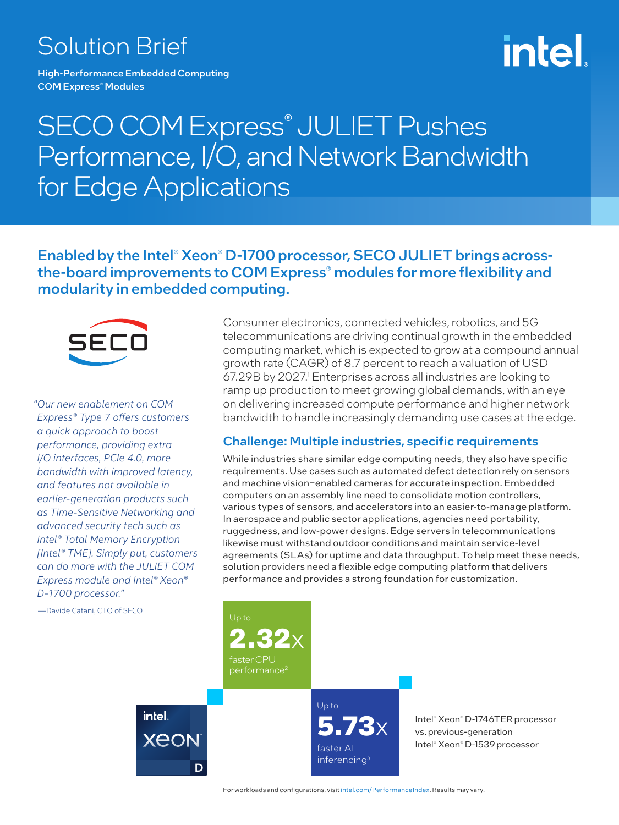# Solution Brief

High-Performance Embedded Computing COM Express® Modules

# intel

# SECO COM Express<sup>®</sup> JULIET Pushes Performance, I/O, and Network Bandwidth for Edge Applications

# Enabled by the Intel® Xeon® D-1700 processor, SECO JULIET brings acrossthe-board improvements to COM Express<sup>®</sup> modules for more flexibility and modularity in embedded computing.



*"Our new enablement on COM Express® Type 7 offers customers a quick approach to boost performance, providing extra I/O interfaces, PCIe 4.0, more bandwidth with improved latency, and features not available in earlier-generation products such as Time-Sensitive Networking and advanced security tech such as Intel® Total Memory Encryption [Intel® TME]. Simply put, customers can do more with the JULIET COM Express module and Intel® Xeon® D-1700 processor."*

—Davide Catani, CTO of SECO

Consumer electronics, connected vehicles, robotics, and 5G telecommunications are driving continual growth in the embedded computing market, which is expected to grow at a compound annual growth rate (CAGR) of 8.7 percent to reach a valuation of USD 67.29B by 2027.<sup>1</sup> Enterprises across all industries are looking to ramp up production to meet growing global demands, with an eye on delivering increased compute performance and higher network bandwidth to handle increasingly demanding use cases at the edge.

#### Challenge: Multiple industries, specific requirements

While industries share similar edge computing needs, they also have specific requirements. Use cases such as automated defect detection rely on sensors and machine vision-enabled cameras for accurate inspection. Embedded computers on an assembly line need to consolidate motion controllers, various types of sensors, and accelerators into an easier-to-manage platform. In aerospace and public sector applications, agencies need portability, ruggedness, and low-power designs. Edge servers in telecommunications likewise must withstand outdoor conditions and maintain service-level agreements (SLAs) for uptime and data throughput. To help meet these needs, solution providers need a flexible edge computing platform that delivers performance and provides a strong foundation for customization.



For workloads and configurations, visit [intel.com/PerformanceIndex](https://edc.intel.com/content/www/us/en/products/performance/benchmarks/overview/). Results may vary.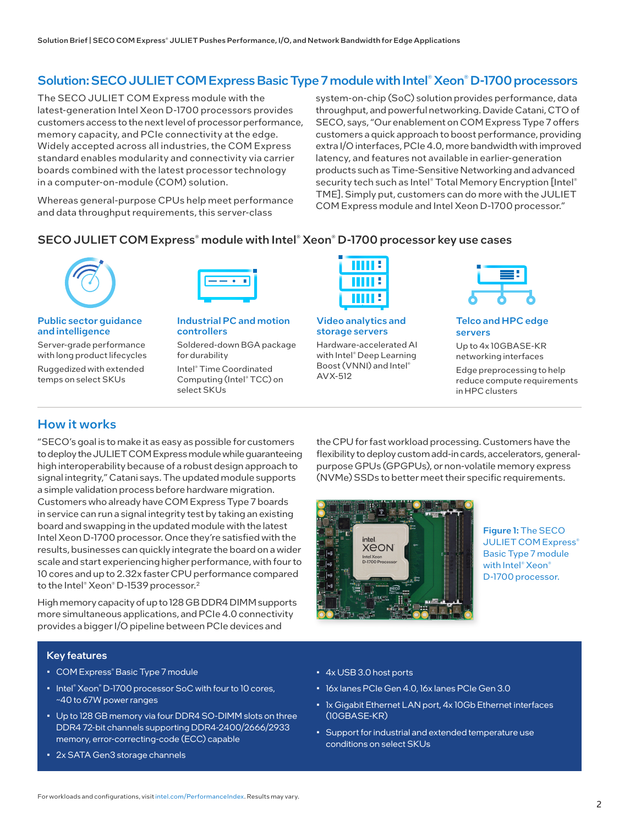## Solution: SECO JULIET COM Express Basic Type 7 module with Intel® Xeon® D-1700 processors

The SECO JULIET COM Express module with the latest-generation Intel Xeon D-1700 processors provides customers access to the next level of processor performance, memory capacity, and PCIe connectivity at the edge. Widely accepted across all industries, the COM Express standard enables modularity and connectivity via carrier boards combined with the latest processor technology in a computer-on-module (COM) solution.

Whereas general-purpose CPUs help meet performance and data throughput requirements, this server-class

system-on-chip (SoC) solution provides performance, data throughput, and powerful networking. Davide Catani, CTO of SECO, says, "Our enablement on COM Express Type 7 offers customers a quick approach to boost performance, providing extra I/O interfaces, PCIe 4.0, more bandwidth with improved latency, and features not available in earlier-generation products such as Time-Sensitive Networking and advanced security tech such as Intel® Total Memory Encryption [Intel® TME]. Simply put, customers can do more with the JULIET COM Express module and Intel Xeon D-1700 processor."

#### SECO JULIET COM Express<sup>®</sup> module with Intel® Xeon® D-1700 processor key use cases



#### Public sector guidance and intelligence

Server-grade performance with long product lifecycles Ruggedized with extended temps on select SKUs



Industrial PC and motion controllers

Soldered-down BGA package for durability

Intel® Time Coordinated Computing (Intel® TCC) on select SKUs



Video analytics and storage servers

Hardware-accelerated AI with Intel® Deep Learning Boost (VNNI) and Intel® AVX-512



Telco and HPC edge servers

Up to 4x 10GBASE-KR networking interfaces

Edge preprocessing to help reduce compute requirements in HPC clusters

## How it works

"SECO's goal is to make it as easy as possible for customers to deploy the JULIET COM Express module while guaranteeing high interoperability because of a robust design approach to signal integrity," Catani says. The updated module supports a simple validation process before hardware migration. Customers who already have COM Express Type 7 boards in service can run a signal integrity test by taking an existing board and swapping in the updated module with the latest Intel Xeon D-1700 processor. Once they're satisfied with the results, businesses can quickly integrate the board on a wider scale and start experiencing higher performance, with four to 10 cores and up to 2.32x faster CPU performance compared to the Intel® Xeon® D-1539 processor.<sup>2</sup>

High memory capacity of up to 128 GB DDR4 DIMM supports more simultaneous applications, and PCIe 4.0 connectivity provides a bigger I/O pipeline between PCIe devices and

#### Key features

- COM Express® Basic Type 7 module
- Intel® Xeon® D-1700 processor SoC with four to 10 cores, ~40 to 67W power ranges
- Up to 128 GB memory via four DDR4 SO-DIMM slots on three DDR4 72-bit channels supporting DDR4-2400/2666/2933 memory, error-correcting-code (ECC) capable
- 2x SATA Gen3 storage channels

the CPU for fast workload processing. Customers have the flexibility to deploy custom add-in cards, accelerators, generalpurpose GPUs (GPGPUs), or non-volatile memory express (NVMe) SSDs to better meet their specific requirements.



Figure 1: The SECO JULIET COM Express<sup>®</sup> Basic Type 7 module with Intel<sup>®</sup> Xeon<sup>®</sup> D-1700 processor.

- 4x USB 3.0 host ports
- 16x lanes PCIe Gen 4.0, 16x lanes PCIe Gen 3.0
- 1x Gigabit Ethernet LAN port, 4x 10Gb Ethernet interfaces (10GBASE-KR)
- Support for industrial and extended temperature use conditions on select SKUs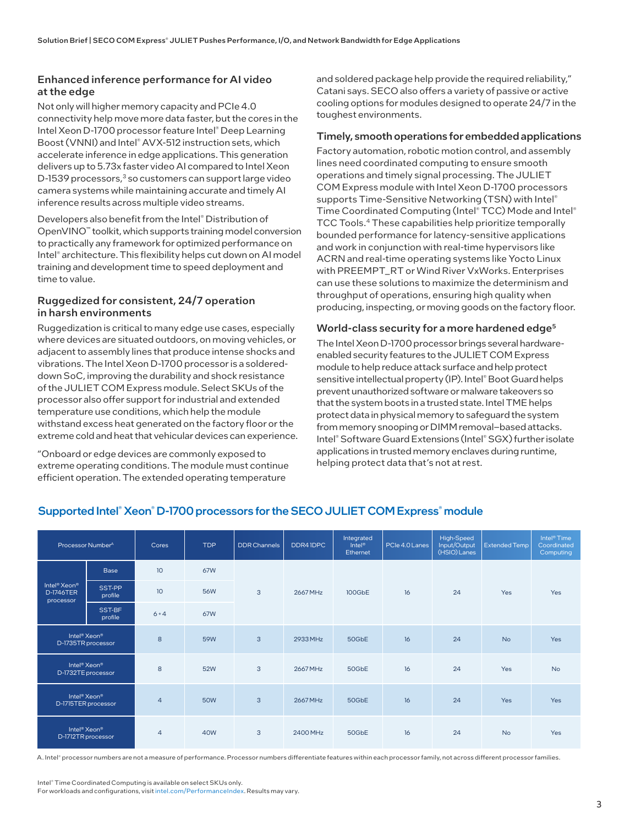#### Enhanced inference performance for AI video at the edge

Not only will higher memory capacity and PCIe 4.0 connectivity help move more data faster, but the cores in the Intel Xeon D-1700 processor feature Intel® Deep Learning Boost (VNNI) and Intel® AVX-512 instruction sets, which accelerate inference in edge applications. This generation delivers up to 5.73x faster video AI compared to Intel Xeon D-1539 processors,<sup>3</sup> so customers can support large video camera systems while maintaining accurate and timely AI inference results across multiple video streams.

Developers also benefit from the Intel® Distribution of OpenVINO™ toolkit, which supports training model conversion to practically any framework for optimized performance on Intel® architecture. This flexibility helps cut down on AI model training and development time to speed deployment and time to value.

#### Ruggedized for consistent, 24/7 operation in harsh environments

Ruggedization is critical to many edge use cases, especially where devices are situated outdoors, on moving vehicles, or adjacent to assembly lines that produce intense shocks and vibrations. The Intel Xeon D-1700 processor is a soldereddown SoC, improving the durability and shock resistance of the JULIET COM Express module. Select SKUs of the processor also offer support for industrial and extended temperature use conditions, which help the module withstand excess heat generated on the factory floor or the extreme cold and heat that vehicular devices can experience.

"Onboard or edge devices are commonly exposed to extreme operating conditions. The module must continue efficient operation. The extended operating temperature

and soldered package help provide the required reliability," Catani says. SECO also offers a variety of passive or active cooling options for modules designed to operate 24/7 in the toughest environments.

#### Timely, smooth operations for embedded applications

Factory automation, robotic motion control, and assembly lines need coordinated computing to ensure smooth operations and timely signal processing. The JULIET COM Express module with Intel Xeon D-1700 processors supports Time-Sensitive Networking (TSN) with Intel® Time Coordinated Computing (Intel® TCC) Mode and Intel® TCC Tools.4 These capabilities help prioritize temporally bounded performance for latency-sensitive applications and work in conjunction with real-time hypervisors like ACRN and real-time operating systems like Yocto Linux with PREEMPT\_RT or Wind River VxWorks. Enterprises can use these solutions to maximize the determinism and throughput of operations, ensuring high quality when producing, inspecting, or moving goods on the factory floor.

#### World-class security for a more hardened edge<sup>5</sup>

The Intel Xeon D-1700 processor brings several hardwareenabled security features to the JULIET COM Express module to help reduce attack surface and help protect sensitive intellectual property (IP). Intel® Boot Guard helps prevent unauthorized software or malware takeovers so that the system boots in a trusted state. Intel TME helps protect data in physical memory to safeguard the system from memory snooping or DIMM removal–based attacks. Intel® Software Guard Extensions (Intel® SGX) further isolate applications in trusted memory enclaves during runtime, helping protect data that's not at rest.

| Processor Number <sup>A</sup>                                         |                   | Cores           | <b>TDP</b> | <b>DDR Channels</b> | DDR41DPC | Integrated<br>$Intel^{\circ}$<br>Ethernet | PCIe 4.0 Lanes | High-Speed<br>Input/Output<br>(HSIO) Lanes | <b>Extended Temp</b> | Intel <sup>®</sup> Time<br>Coordinated<br>Computing |
|-----------------------------------------------------------------------|-------------------|-----------------|------------|---------------------|----------|-------------------------------------------|----------------|--------------------------------------------|----------------------|-----------------------------------------------------|
| Intel <sup>®</sup> Xeon <sup>®</sup><br><b>D-1746TER</b><br>processor | <b>Base</b>       | 10 <sup>°</sup> | 67W        | 3                   | 2667 MHz | 100GbE                                    | 16             | 24                                         | Yes                  | Yes                                                 |
|                                                                       | SST-PP<br>profile | 10              | <b>56W</b> |                     |          |                                           |                |                                            |                      |                                                     |
|                                                                       | SST-BF<br>profile | $6 + 4$         | 67W        |                     |          |                                           |                |                                            |                      |                                                     |
| Intel <sup>®</sup> Xeon <sup>®</sup><br>D-1735TR processor            |                   | 8               | 59W        | 3                   | 2933 MHz | 50GbE                                     | 16             | 24                                         | <b>No</b>            | Yes                                                 |
| Intel <sup>®</sup> Xeon <sup>®</sup><br>D-1732TE processor            |                   | 8               | 52W        | 3                   | 2667 MHz | 50GbE                                     | 16             | 24                                         | Yes                  | <b>No</b>                                           |
| Intel <sup>®</sup> Xeon <sup>®</sup><br>D-1715TER processor           |                   | $\overline{4}$  | <b>50W</b> | 3                   | 2667 MHz | 50GbE                                     | 16             | 24                                         | Yes                  | <b>Yes</b>                                          |
| Intel <sup>®</sup> Xeon <sup>®</sup><br>D-1712TR processor            |                   | $\overline{4}$  | 40W        | 3                   | 2400 MHz | 50GbE                                     | 16             | 24                                         | <b>No</b>            | Yes                                                 |

#### Supported Intel® Xeon® D-1700 processors for the SECO JULIET COM Express® module

A. Intel® processor numbers are not a measure of performance. Processor numbers differentiate features within each processor family, not across different processor families.